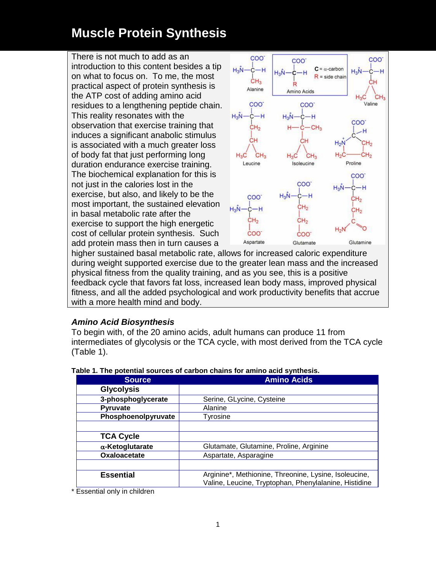There is not much to add as an introduction to this content besides a tip on what to focus on. To me, the most practical aspect of protein synthesis is the ATP cost of adding amino acid residues to a lengthening peptide chain. This reality resonates with the observation that exercise training that induces a significant anabolic stimulus is associated with a much greater loss of body fat that just performing long duration endurance exercise training. The biochemical explanation for this is not just in the calories lost in the exercise, but also, and likely to be the most important, the sustained elevation in basal metabolic rate after the exercise to support the high energetic cost of cellular protein synthesis. Such add protein mass then in turn causes a



higher sustained basal metabolic rate, allows for increased caloric expenditure during weight supported exercise due to the greater lean mass and the increased physical fitness from the quality training, and as you see, this is a positive feedback cycle that favors fat loss, increased lean body mass, improved physical fitness, and all the added psychological and work productivity benefits that accrue with a more health mind and body.

#### *Amino Acid Biosynthesis*

To begin with, of the 20 amino acids, adult humans can produce 11 from intermediates of glycolysis or the TCA cycle, with most derived from the TCA cycle (Table 1).

| <b>Source</b>           | <b>Amino Acids</b>                                                                                             |  |  |  |
|-------------------------|----------------------------------------------------------------------------------------------------------------|--|--|--|
| <b>Glycolysis</b>       |                                                                                                                |  |  |  |
| 3-phosphoglycerate      | Serine, GLycine, Cysteine                                                                                      |  |  |  |
| <b>Pyruvate</b>         | Alanine                                                                                                        |  |  |  |
| Phosphoenolpyruvate     | Tyrosine                                                                                                       |  |  |  |
|                         |                                                                                                                |  |  |  |
| <b>TCA Cycle</b>        |                                                                                                                |  |  |  |
| $\alpha$ -Ketoglutarate | Glutamate, Glutamine, Proline, Arginine                                                                        |  |  |  |
| Oxaloacetate            | Aspartate, Asparagine                                                                                          |  |  |  |
|                         |                                                                                                                |  |  |  |
| <b>Essential</b>        | Arginine*, Methionine, Threonine, Lysine, Isoleucine,<br>Valine, Leucine, Tryptophan, Phenylalanine, Histidine |  |  |  |

| Table 1. The potential sources of carbon chains for amino acid synthesis. |  |  |
|---------------------------------------------------------------------------|--|--|

\* Essential only in children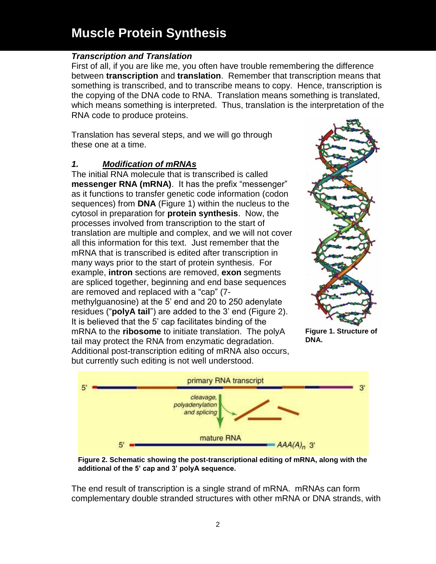#### *Transcription and Translation*

First of all, if you are like me, you often have trouble remembering the difference between **transcription** and **translation**. Remember that transcription means that something is transcribed, and to transcribe means to copy. Hence, transcription is the copying of the DNA code to RNA. Translation means something is translated, which means something is interpreted. Thus, translation is the interpretation of the RNA code to produce proteins.

Translation has several steps, and we will go through these one at a time.

### *1. Modification of mRNAs*

The initial RNA molecule that is transcribed is called **messenger RNA (mRNA)**. It has the prefix "messenger" as it functions to transfer genetic code information (codon sequences) from **DNA** (Figure 1) within the nucleus to the cytosol in preparation for **protein synthesis**. Now, the processes involved from transcription to the start of translation are multiple and complex, and we will not cover all this information for this text. Just remember that the mRNA that is transcribed is edited after transcription in many ways prior to the start of protein synthesis. For example, **intron** sections are removed, **exon** segments are spliced together, beginning and end base sequences are removed and replaced with a "cap" (7 methylguanosine) at the 5' end and 20 to 250 adenylate residues ("**polyA tail**") are added to the 3' end (Figure 2). It is believed that the 5' cap facilitates binding of the mRNA to the **ribosome** to initiate translation. The polyA tail may protect the RNA from enzymatic degradation. Additional post-transcription editing of mRNA also occurs, but currently such editing is not well understood.



**Figure 1. Structure of DNA.**



**Figure 2. Schematic showing the post-transcriptional editing of mRNA, along with the additional of the 5' cap and 3' polyA sequence.**

The end result of transcription is a single strand of mRNA. mRNAs can form complementary double stranded structures with other mRNA or DNA strands, with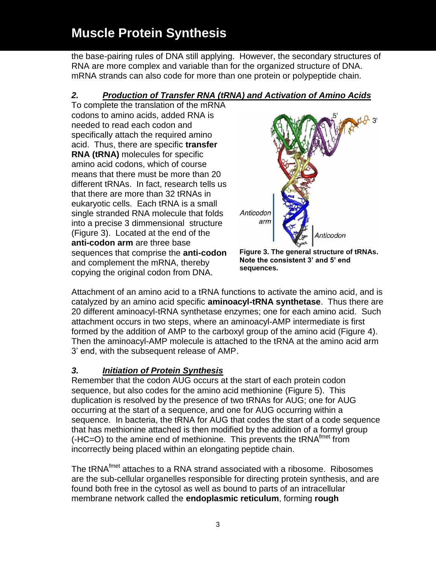the base-pairing rules of DNA still applying. However, the secondary structures of RNA are more complex and variable than for the organized structure of DNA. mRNA strands can also code for more than one protein or polypeptide chain.

### *2. Production of Transfer RNA (tRNA) and Activation of Amino Acids*

To complete the translation of the mRNA codons to amino acids, added RNA is needed to read each codon and specifically attach the required amino acid. Thus, there are specific **transfer RNA (tRNA)** molecules for specific amino acid codons, which of course means that there must be more than 20 different tRNAs. In fact, research tells us that there are more than 32 tRNAs in eukaryotic cells. Each tRNA is a small single stranded RNA molecule that folds into a precise 3 dimmensional structure (Figure 3). Located at the end of the **anti-codon arm** are three base sequences that comprise the **anti-codon** and complement the mRNA, thereby copying the original codon from DNA.



**Figure 3. The general structure of tRNAs. Note the consistent 3' and 5' end sequences.** 

Attachment of an amino acid to a tRNA functions to activate the amino acid, and is catalyzed by an amino acid specific **aminoacyl-tRNA synthetase**. Thus there are 20 different aminoacyl-tRNA synthetase enzymes; one for each amino acid. Such attachment occurs in two steps, where an aminoacyl-AMP intermediate is first formed by the addition of AMP to the carboxyl group of the amino acid (Figure 4). Then the aminoacyl-AMP molecule is attached to the tRNA at the amino acid arm 3' end, with the subsequent release of AMP.

### *3. Initiation of Protein Synthesis*

Remember that the codon AUG occurs at the start of each protein codon sequence, but also codes for the amino acid methionine (Figure 5). This duplication is resolved by the presence of two tRNAs for AUG; one for AUG occurring at the start of a sequence, and one for AUG occurring within a sequence. In bacteria, the tRNA for AUG that codes the start of a code sequence that has methionine attached is then modified by the addition of a formyl group  $(-HC=O)$  to the amine end of methionine. This prevents the tRNA<sup>fmet</sup> from incorrectly being placed within an elongating peptide chain.

The tRNA<sup>fmet</sup> attaches to a RNA strand associated with a ribosome. Ribosomes are the sub-cellular organelles responsible for directing protein synthesis, and are found both free in the cytosol as well as bound to parts of an intracellular membrane network called the **endoplasmic reticulum**, forming **rough**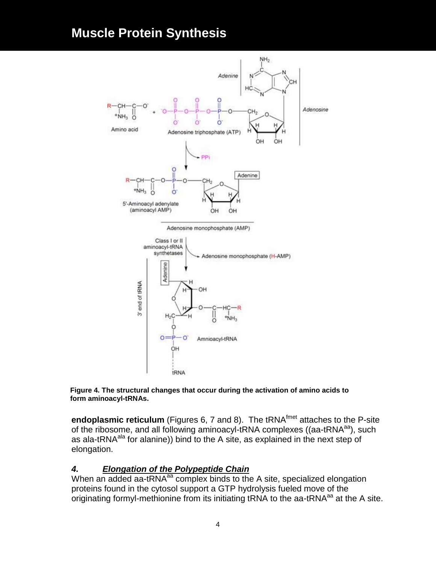

**Figure 4. The structural changes that occur during the activation of amino acids to form aminoacyl-tRNAs.**

**endoplasmic reticulum** (Figures 6, 7 and 8). The tRNA<sup>fmet</sup> attaches to the P-site of the ribosome, and all following aminoacyl-tRNA complexes ((aa-tRNA<sup>aa</sup>), such as ala-tRNA<sup>ala</sup> for alanine)) bind to the A site, as explained in the next step of elongation.

#### *4. Elongation of the Polypeptide Chain*

When an added aa-tRNA<sup>aa</sup> complex binds to the A site, specialized elongation proteins found in the cytosol support a GTP hydrolysis fueled move of the originating formyl-methionine from its initiating tRNA to the aa-tRNA $a^a$  at the A site.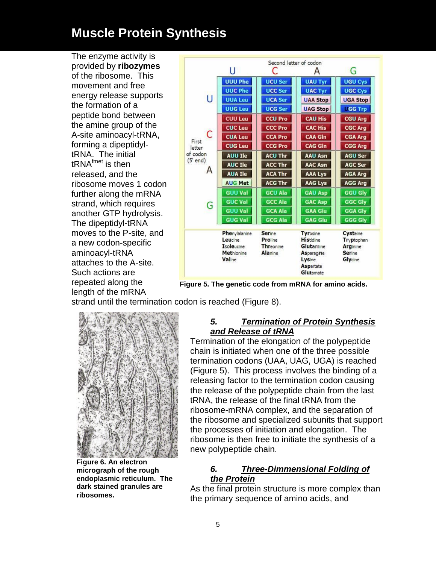The enzyme activity is provided by **ribozymes** of the ribosome. This movement and free energy release supports the formation of a peptide bond between the amine group of the A-site aminoacyl-tRNA, forming a dipeptidyltRNA. The initial  $tRNA<sup>fmet</sup>$  is then released, and the ribosome moves 1 codon further along the mRNA strand, which requires another GTP hydrolysis. The dipeptidyl-tRNA moves to the P-site, and a new codon-specific aminoacyl-tRNA attaches to the A-site. Such actions are repeated along the length of the mRNA

|                        | Second letter of codon |                      |                               |                        |  |  |
|------------------------|------------------------|----------------------|-------------------------------|------------------------|--|--|
|                        | U                      | Œ                    | G                             |                        |  |  |
|                        | <b>UUU Phe</b>         | <b>UCU Ser</b>       | <b>UAU Tyr</b>                | <b>UGU Cys</b>         |  |  |
| Ū                      | <b>UUC Phe</b>         | <b>UCC Ser</b>       | <b>UAC Tyr</b>                | <b>UGC Cys</b>         |  |  |
|                        | <b>UUA Leu</b>         | <b>UCA Ser</b>       | <b>UAA Stop</b>               | <b>UGA Stop</b>        |  |  |
|                        | <b>UUG Leu</b>         | <b>UCG Ser</b>       | <b>UAG Stop</b>               | <b>GG Trp</b>          |  |  |
| Ċ<br>First             | <b>CUU Leu</b>         | <b>CCU Pro</b>       | <b>CAU His</b>                | <b>CGU Arg</b>         |  |  |
|                        | <b>CUC Leu</b>         | <b>CCC Pro</b>       | <b>CAC His</b>                | <b>CGC Arg</b>         |  |  |
|                        | <b>CUA Leu</b>         | <b>CCA Pro</b>       | <b>CAA GIn</b>                | <b>CGA Arg</b>         |  |  |
| letter                 | <b>CUG Leu</b>         | <b>CCG Pro</b>       | <b>CAG GIn</b>                | <b>CGG Arg</b>         |  |  |
| of codon<br>$(5'$ end) | <b>AUU Ile</b>         | <b>ACU Thr</b>       | <b>AAU Asn</b>                | <b>AGU Ser</b>         |  |  |
| А                      | <b>AUC Ile</b>         | <b>ACC Thr</b>       | <b>AAC Asn</b>                | <b>AGC Ser</b>         |  |  |
|                        | <b>AUA Ile</b>         | <b>ACA Thr</b>       | <b>AAA Lys</b>                | <b>AGA Arg</b>         |  |  |
|                        | <b>AUG Met</b>         | <b>ACG Thr</b>       | <b>AAG Lys</b>                | <b>AGG Arg</b>         |  |  |
| G                      | <b>GUU Val</b>         | <b>GCU Ala</b>       | <b>GAU Asp</b>                | <b>GGU Gly</b>         |  |  |
|                        | <b>GUC Val</b>         | <b>GCC Ala</b>       | <b>GAC Asp</b>                | <b>GGC Gly</b>         |  |  |
|                        | <b>GUU Val</b>         | <b>GCA Ala</b>       | <b>GAA Glu</b>                | <b>GGA Gly</b>         |  |  |
|                        | <b>GUG Val</b>         | <b>GCG Ala</b>       | <b>GAG Glu</b>                | <b>GGG Gly</b>         |  |  |
|                        | Phenylalanine          | Serine               | Tyrosine                      | Cysteine               |  |  |
|                        | Leucine<br>Isoleucine  | Proline<br>Threonine | <b>Histidine</b><br>Glutamine | Tryptophan<br>Arginine |  |  |
|                        | Methionine             | Alanine              | <b>Asparagine</b>             | Serine                 |  |  |
|                        | Valine                 |                      | Lysine                        | Glycine                |  |  |
|                        |                        |                      | <b>Aspartate</b><br>Glutamate |                        |  |  |

**Figure 5. The genetic code from mRNA for amino acids.**

strand until the termination codon is reached (Figure 8).



**Figure 6. An electron micrograph of the rough endoplasmic reticulum. The dark stained granules are ribosomes.**

### *5. Termination of Protein Synthesis and Release of tRNA*

Termination of the elongation of the polypeptide chain is initiated when one of the three possible termination codons (UAA, UAG, UGA) is reached (Figure 5). This process involves the binding of a releasing factor to the termination codon causing the release of the polypeptide chain from the last tRNA, the release of the final tRNA from the ribosome-mRNA complex, and the separation of the ribosome and specialized subunits that support the processes of initiation and elongation. The ribosome is then free to initiate the synthesis of a new polypeptide chain.

### *6. Three-Dimmensional Folding of the Protein*

As the final protein structure is more complex than the primary sequence of amino acids, and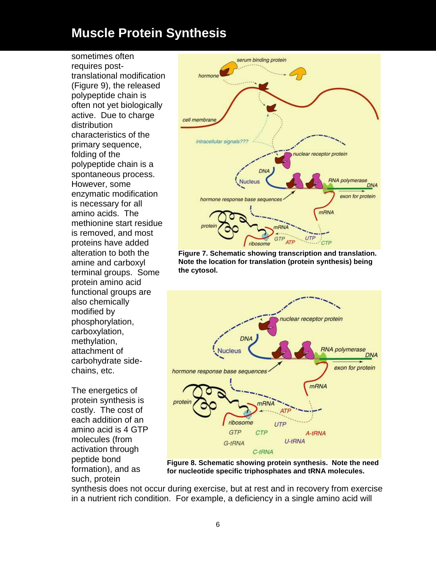sometimes often requires posttranslational modification (Figure 9), the released polypeptide chain is often not yet biologically active. Due to charge distribution characteristics of the primary sequence, folding of the polypeptide chain is a spontaneous process. However, some enzymatic modification is necessary for all amino acids. The methionine start residue is removed, and most proteins have added alteration to both the amine and carboxyl terminal groups. Some protein amino acid functional groups are also chemically modified by phosphorylation, carboxylation, methylation, attachment of carbohydrate sidechains, etc.

The energetics of protein synthesis is costly. The cost of each addition of an amino acid is 4 GTP molecules (from activation through peptide bond formation), and as such, protein



**Figure 7. Schematic showing transcription and translation. Note the location for translation (protein synthesis) being the cytosol.**



**Figure 8. Schematic showing protein synthesis. Note the need for nucleotide specific triphosphates and tRNA molecules.**

synthesis does not occur during exercise, but at rest and in recovery from exercise in a nutrient rich condition. For example, a deficiency in a single amino acid will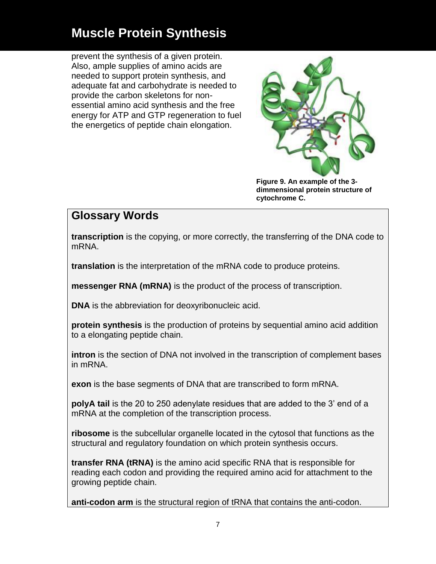prevent the synthesis of a given protein. Also, ample supplies of amino acids are needed to support protein synthesis, and adequate fat and carbohydrate is needed to provide the carbon skeletons for nonessential amino acid synthesis and the free energy for ATP and GTP regeneration to fuel the energetics of peptide chain elongation.



**Figure 9. An example of the 3 dimmensional protein structure of cytochrome C.**

### **Glossary Words**

**transcription** is the copying, or more correctly, the transferring of the DNA code to mRNA.

**translation** is the interpretation of the mRNA code to produce proteins.

**messenger RNA (mRNA)** is the product of the process of transcription.

**DNA** is the abbreviation for deoxyribonucleic acid.

**protein synthesis** is the production of proteins by sequential amino acid addition to a elongating peptide chain.

**intron** is the section of DNA not involved in the transcription of complement bases in mRNA.

**exon** is the base segments of DNA that are transcribed to form mRNA.

**polyA tail** is the 20 to 250 adenylate residues that are added to the 3' end of a mRNA at the completion of the transcription process.

**ribosome** is the subcellular organelle located in the cytosol that functions as the structural and regulatory foundation on which protein synthesis occurs.

**transfer RNA (tRNA)** is the amino acid specific RNA that is responsible for reading each codon and providing the required amino acid for attachment to the growing peptide chain.

**anti-codon arm** is the structural region of tRNA that contains the anti-codon.